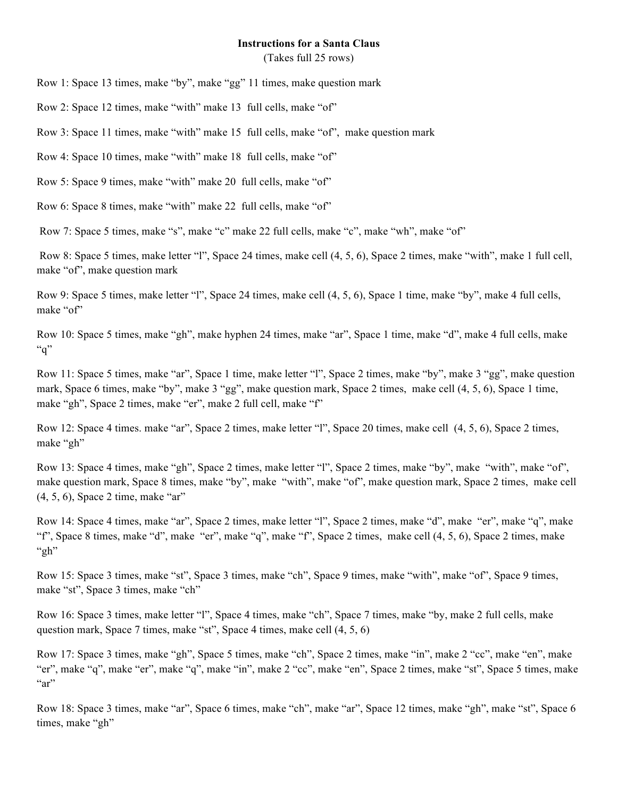## **Instructions for a Santa Claus**

(Takes full 25 rows)

Row 1: Space 13 times, make "by", make "gg" 11 times, make question mark

Row 2: Space 12 times, make "with" make 13 full cells, make "of"

Row 3: Space 11 times, make "with" make 15 full cells, make "of", make question mark

Row 4: Space 10 times, make "with" make 18 full cells, make "of"

Row 5: Space 9 times, make "with" make 20 full cells, make "of"

Row 6: Space 8 times, make "with" make 22 full cells, make "of"

Row 7: Space 5 times, make "s", make "c" make 22 full cells, make "c", make "wh", make "of"

Row 8: Space 5 times, make letter "l", Space 24 times, make cell (4, 5, 6), Space 2 times, make "with", make 1 full cell, make "of", make question mark

Row 9: Space 5 times, make letter "l", Space 24 times, make cell  $(4, 5, 6)$ , Space 1 time, make "by", make 4 full cells, make "of"

Row 10: Space 5 times, make "gh", make hyphen 24 times, make "ar", Space 1 time, make "d", make 4 full cells, make  $"q"$ 

Row 11: Space 5 times, make "ar", Space 1 time, make letter "l", Space 2 times, make "by", make 3 "gg", make question mark, Space 6 times, make "by", make 3 "gg", make question mark, Space 2 times, make cell (4, 5, 6), Space 1 time, make "gh", Space 2 times, make "er", make 2 full cell, make "f"

Row 12: Space 4 times. make "ar", Space 2 times, make letter "l", Space 20 times, make cell (4, 5, 6), Space 2 times, make "gh"

Row 13: Space 4 times, make "gh", Space 2 times, make letter "l", Space 2 times, make "by", make "with", make "of", make question mark, Space 8 times, make "by", make "with", make "of", make question mark, Space 2 times, make cell (4, 5, 6), Space 2 time, make "ar"

Row 14: Space 4 times, make "ar", Space 2 times, make letter "l", Space 2 times, make "d", make "er", make "q", make "f", Space 8 times, make "d", make "er", make "q", make "f", Space 2 times, make cell (4, 5, 6), Space 2 times, make " $gh$ "

Row 15: Space 3 times, make "st", Space 3 times, make "ch", Space 9 times, make "with", make "of", Space 9 times, make "st", Space 3 times, make "ch"

Row 16: Space 3 times, make letter "l", Space 4 times, make "ch", Space 7 times, make "by, make 2 full cells, make question mark, Space 7 times, make "st", Space 4 times, make cell (4, 5, 6)

Row 17: Space 3 times, make "gh", Space 5 times, make "ch", Space 2 times, make "in", make 2 "cc", make "en", make "er", make "q", make "er", make "q", make "in", make 2 "cc", make "en", Space 2 times, make "st", Space 5 times, make  $a^{\prime\prime}$ 

Row 18: Space 3 times, make "ar", Space 6 times, make "ch", make "ar", Space 12 times, make "gh", make "st", Space 6 times, make "gh"